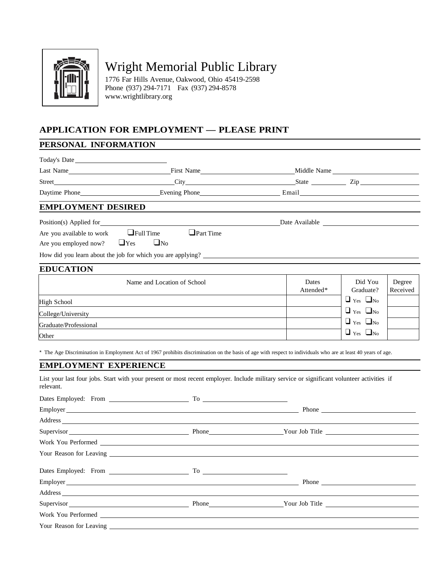

# Wright Memorial Public Library

1776 Far Hills Avenue, Oakwood, Ohio 45419-2598 Phone (937) 294-7171 Fax (937) 294-8578 [www.wrightlibrary.org](http://www.wrightlibrary.org/)

# **APPLICATION FOR EMPLOYMENT — PLEASE PRINT**

## **PERSONAL INFORMATION**

| Today's Date                          |                                                                                                                                                                                                                                                                                                                                                             |           |                      |          |
|---------------------------------------|-------------------------------------------------------------------------------------------------------------------------------------------------------------------------------------------------------------------------------------------------------------------------------------------------------------------------------------------------------------|-----------|----------------------|----------|
|                                       | Last Name <sub>1</sub> Middle Name <sub>1</sub> Middle Name <sub>1</sub> Middle Name <sub>2</sub> Middle Name <sub>2</sub> Middle Name <sub>2</sub> Middle Name <sub>2</sub> Middle Name <sub>2</sub> Middle Name <sub>2</sub> Middle Name <sub>2</sub> Middle Name <sub>2</sub> Middle Name <sub>2</sub> Middle Name <sub>2</sub> Middle Name <sub>2</sub> |           |                      |          |
|                                       |                                                                                                                                                                                                                                                                                                                                                             |           |                      |          |
| Daytime Phone_                        | Evening Phone <b>Example 2</b> Email <b>Example 2</b> Email                                                                                                                                                                                                                                                                                                 |           |                      |          |
| <b>EMPLOYMENT DESIRED</b>             |                                                                                                                                                                                                                                                                                                                                                             |           |                      |          |
| Position(s) Applied for               |                                                                                                                                                                                                                                                                                                                                                             |           |                      |          |
| Are you available to work             | $\Box$ Full Time<br>$\Box$ Part Time                                                                                                                                                                                                                                                                                                                        |           |                      |          |
| Are you employed now?<br>$\sqcup$ Yes | $\Box$ No                                                                                                                                                                                                                                                                                                                                                   |           |                      |          |
|                                       | How did you learn about the job for which you are applying?                                                                                                                                                                                                                                                                                                 |           |                      |          |
| <b>EDUCATION</b>                      |                                                                                                                                                                                                                                                                                                                                                             |           |                      |          |
|                                       | Name and Location of School                                                                                                                                                                                                                                                                                                                                 | Dates     | Did You              | Degree   |
|                                       |                                                                                                                                                                                                                                                                                                                                                             | Attended* | Graduate?            | Received |
| <b>High School</b>                    |                                                                                                                                                                                                                                                                                                                                                             |           | $\Box$ Yes $\Box$ No |          |
| College/University                    |                                                                                                                                                                                                                                                                                                                                                             |           | $\Box$ Yes $\Box$ No |          |
| Graduate/Professional                 |                                                                                                                                                                                                                                                                                                                                                             |           | $\Box$ Yes $\Box$ No |          |
| Other                                 |                                                                                                                                                                                                                                                                                                                                                             |           | $\Box$ Yes $\Box$ No |          |
|                                       | * The Age Discrimination in Employment Act of 1967 prohibits discrimination on the basis of age with respect to individuals who are at least 40 years of age.                                                                                                                                                                                               |           |                      |          |
| <b>EMPLOYMENT EXPERIENCE</b>          |                                                                                                                                                                                                                                                                                                                                                             |           |                      |          |
| relevant.                             | List your last four jobs. Start with your present or most recent employer. Include military service or significant volunteer activities if                                                                                                                                                                                                                  |           |                      |          |
|                                       |                                                                                                                                                                                                                                                                                                                                                             |           |                      |          |
|                                       | Employer Phone Phone Phone Phone Phone Phone Phone Phone Phone Phone Phone Phone Phone Phone Phone Phone Phone Phone Phone Phone Phone Phone Phone Phone Phone Phone Phone Phone Phone Phone Phone Phone Phone Phone Phone Pho                                                                                                                              |           |                      |          |
|                                       | Address and the contract of the contract of the contract of the contract of the contract of the contract of the contract of the contract of the contract of the contract of the contract of the contract of the contract of th                                                                                                                              |           |                      |          |
|                                       |                                                                                                                                                                                                                                                                                                                                                             |           |                      |          |
|                                       | Work You Performed Contract the Contract of the Contract of the Contract of the Contract of the Contract of the Contract of the Contract of the Contract of the Contract of the Contract of the Contract of the Contract of th                                                                                                                              |           |                      |          |
| Your Reason for Leaving               |                                                                                                                                                                                                                                                                                                                                                             |           |                      |          |
|                                       | Dates Employed: From To To                                                                                                                                                                                                                                                                                                                                  |           |                      |          |
|                                       | Employer <b>Employer</b>                                                                                                                                                                                                                                                                                                                                    |           | Phone                |          |
|                                       | Address and the contract of the contract of the contract of the contract of the contract of the contract of the contract of the contract of the contract of the contract of the contract of the contract of the contract of th                                                                                                                              |           |                      |          |
|                                       |                                                                                                                                                                                                                                                                                                                                                             |           |                      |          |
| Work You Performed                    |                                                                                                                                                                                                                                                                                                                                                             |           |                      |          |
| Your Reason for Leaving _             |                                                                                                                                                                                                                                                                                                                                                             |           |                      |          |